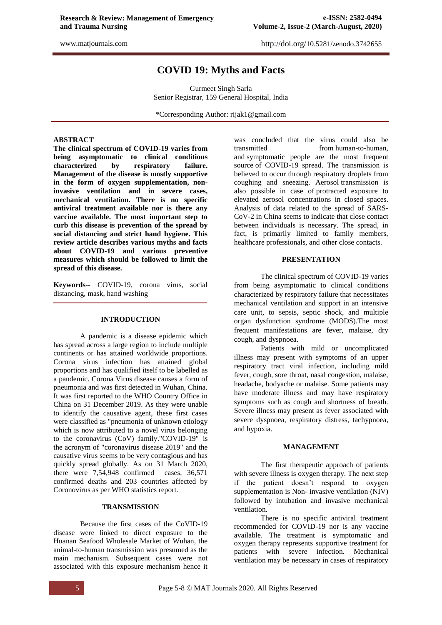# **COVID 19: Myths and Facts**

Gurmeet Singh Sarla Senior Registrar, 159 General Hospital, India

\*Corresponding Author: rijak1@gmail.com

# **ABSTRACT**

**The clinical spectrum of COVID-19 varies from being asymptomatic to clinical conditions characterized by respiratory failure. Management of the disease is mostly supportive in the form of oxygen supplementation, noninvasive ventilation and in severe cases, mechanical ventilation. There is no specific antiviral treatment available nor is there any vaccine available. The most important step to curb this disease is prevention of the spread by social distancing and strict hand hygiene. This review article describes various myths and facts about COVID-19 and various preventive measures which should be followed to limit the spread of this disease.**

**Keywords--** COVID-19, corona virus, social distancing, mask, hand washing

# **INTRODUCTION**

A pandemic is a disease epidemic which has spread across a large region to include multiple continents or has attained worldwide proportions. Corona virus infection has attained global proportions and has qualified itself to be labelled as a pandemic. Corona Virus disease causes a form of pneumonia and was first detected in Wuhan, China. It was first reported to the WHO Country Office in China on 31 December 2019. As they were unable to identify the causative agent, these first cases were classified as "pneumonia of unknown etiology which is now attributed to a novel virus belonging to the coronavirus (CoV) family."COVID-19" is the acronym of "coronavirus disease 2019" and the causative virus seems to be very contagious and has quickly spread globally. As on 31 March 2020, there were 7,54,948 confirmed cases, 36,571 confirmed deaths and 203 countries affected by Coronovirus as per WHO statistics report.

# **TRANSMISSION**

Because the first cases of the CoVID-19 disease were linked to direct exposure to the Huanan Seafood Wholesale Market of Wuhan, the animal-to-human transmission was presumed as the main mechanism. Subsequent cases were not associated with this exposure mechanism hence it

was concluded that the virus could also be transmitted from human-to-human, and symptomatic people are the most frequent source of COVID-19 spread. The transmission is believed to occur through respiratory droplets from coughing and sneezing. Aerosol transmission is also possible in case of protracted exposure to elevated aerosol concentrations in closed spaces. Analysis of data related to the spread of SARS-CoV-2 in China seems to indicate that close contact between individuals is necessary. The spread, in fact, is primarily limited to family members, healthcare professionals, and other close contacts.

# **PRESENTATION**

The clinical spectrum of COVID-19 varies from being asymptomatic to clinical conditions characterized by respiratory failure that necessitates mechanical ventilation and support in an intensive care unit, to sepsis, septic shock, and multiple organ dysfunction syndrome (MODS).The most frequent manifestations are fever, malaise, dry cough, and dyspnoea.

Patients with mild or uncomplicated illness may present with symptoms of an upper respiratory tract viral infection, including mild fever, cough, sore throat, nasal congestion, malaise, headache, bodyache or malaise. Some patients may have moderate illness and may have respiratory symptoms such as cough and shortness of breath. Severe illness may present as fever associated with severe dyspnoea, respiratory distress, tachypnoea, and hypoxia.

# **MANAGEMENT**

The first therapeutic approach of patients with severe illness is oxygen therapy. The next step if the patient doesn"t respond to oxygen supplementation is Non- invasive ventilation (NIV) followed by intubation and invasive mechanical ventilation.

There is no specific antiviral treatment recommended for COVID-19 nor is any vaccine available. The treatment is symptomatic and oxygen therapy represents supportive treatment for patients with severe infection. Mechanical ventilation may be necessary in cases of respiratory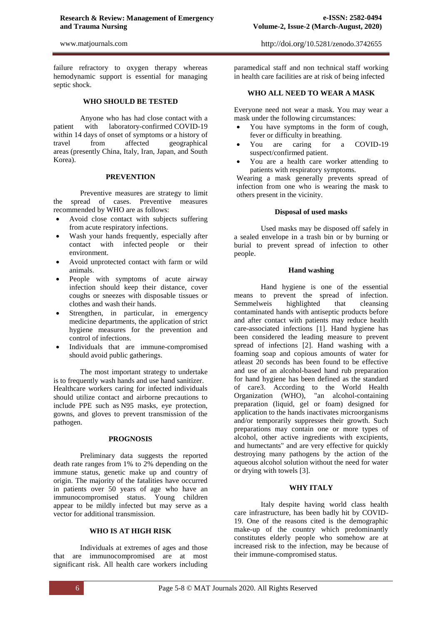failure refractory to oxygen therapy whereas hemodynamic support is essential for managing septic shock.

# **WHO SHOULD BE TESTED**

Anyone who has had close contact with a patient with laboratory-confirmed COVID-19 within 14 days of onset of symptoms or a history of travel from affected geographical areas (presently China, Italy, Iran, Japan, and South Korea).

### **PREVENTION**

Preventive measures are strategy to limit the spread of cases. Preventive measures recommended by WHO are as follows:

- Avoid close contact with subjects suffering from acute respiratory infections.
- Wash your hands frequently, especially after contact with infected people or their environment.
- Avoid unprotected contact with farm or wild animals.
- People with symptoms of acute airway infection should keep their distance, cover coughs or sneezes with disposable tissues or clothes and wash their hands.
- Strengthen, in particular, in emergency medicine departments, the application of strict hygiene measures for the prevention and control of infections.
- Individuals that are immune-compromised should avoid public gatherings.

The most important strategy to undertake is to frequently wash hands and use hand sanitizer. Healthcare workers caring for infected individuals should utilize contact and airborne precautions to include PPE such as N95 masks, eye protection, gowns, and gloves to prevent transmission of the pathogen.

#### **PROGNOSIS**

Preliminary data suggests the reported death rate ranges from 1% to 2% depending on the immune status, genetic make up and country of origin. The majority of the fatalities have occurred in patients over 50 years of age who have an immunocompromised status. Young children appear to be mildly infected but may serve as a vector for additional transmission.

# **WHO IS AT HIGH RISK**

Individuals at extremes of ages and those that are immunocompromised are at most significant risk. All health care workers including

http://doi.org/[10.5281/zenodo.3742655](http://doi.org/10.5281/zenodo.3742655)

paramedical staff and non technical staff working in health care facilities are at risk of being infected

# **WHO ALL NEED TO WEAR A MASK**

Everyone need not wear a mask. You may wear a mask under the following circumstances:

- You have symptoms in the form of cough, fever or difficulty in breathing.
- You are caring for a COVID-19 suspect/confirmed patient.
- You are a health care worker attending to patients with respiratory symptoms.

Wearing a mask generally prevents spread of infection from one who is wearing the mask to others present in the vicinity.

### **Disposal of used masks**

Used masks may be disposed off safely in a sealed envelope in a trash bin or by burning or burial to prevent spread of infection to other people.

#### **Hand washing**

Hand hygiene is one of the essential means to prevent the spread of infection. Semmelweis highlighted that cleansing contaminated hands with antiseptic products before and after contact with patients may reduce health care-associated infections [1]. Hand hygiene has been considered the leading measure to prevent spread of infections [2]. Hand washing with a foaming soap and copious amounts of water for atleast 20 seconds has been found to be effective and use of an alcohol-based hand rub preparation for hand hygiene has been defined as the standard of care3. According to the World Health Organization (WHO), "an alcohol-containing preparation (liquid, gel or foam) designed for application to the hands inactivates microorganisms and/or temporarily suppresses their growth. Such preparations may contain one or more types of alcohol, other active ingredients with excipients, and humectants" and are very effective for quickly destroying many pathogens by the action of the aqueous alcohol solution without the need for water or drying with towels [3].

# **WHY ITALY**

Italy despite having world class health care infrastructure, has been badly hit by COVID-19. One of the reasons cited is the demographic make-up of the country which predominantly constitutes elderly people who somehow are at increased risk to the infection, may be because of their immune-compromised status.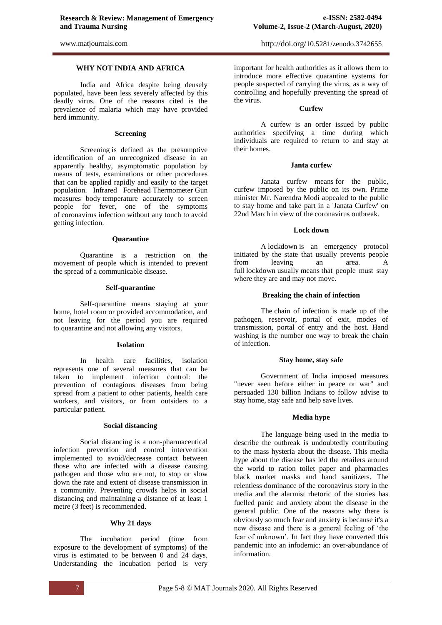# **WHY NOT INDIA AND AFRICA**

India and Africa despite being densely populated, have been less severely affected by this deadly virus. One of the reasons cited is the prevalence of malaria which may have provided herd immunity.

### **Screening**

Screening is defined as the presumptive identification of an unrecognized disease in an apparently healthy, asymptomatic population by means of tests, examinations or other procedures that can be applied rapidly and easily to the target population. Infrared Forehead Thermometer Gun measures body temperature accurately to screen people for fever, one of the symptoms of coronavirus infection without any touch to avoid getting infection.

#### **Quarantine**

Quarantine is a restriction on the movement of people which is intended to prevent the spread of a communicable disease.

### **Self-quarantine**

Self-quarantine means staying at your home, hotel room or provided accommodation, and not leaving for the period you are required to quarantine and not allowing any visitors.

# **Isolation**

In health care facilities, isolation represents one of several measures that can be taken to implement infection control: the prevention of contagious diseases from being spread from a patient to other patients, health care workers, and visitors, or from outsiders to a particular patient.

### **Social distancing**

Social distancing is a non-pharmaceutical infection prevention and control intervention implemented to avoid/decrease contact between those who are infected with a disease causing pathogen and those who are not, to stop or slow down the rate and extent of disease transmission in a community. Preventing crowds helps in social distancing and maintaining a distance of at least 1 metre (3 feet) is recommended.

# **Why 21 days**

The incubation period (time from exposure to the development of symptoms) of the virus is estimated to be between 0 and 24 days. Understanding the incubation period is very

important for health authorities as it allows them to introduce more effective quarantine systems for people suspected of carrying the virus, as a way of controlling and hopefully preventing the spread of the virus.

#### **Curfew**

A curfew is an order issued by public authorities specifying a time during which individuals are required to return to and stay at their homes.

### **Janta curfew**

Janata curfew means for the public, curfew imposed by the public on its own. Prime minister Mr. Narendra Modi appealed to the public to stay home and take part in a 'Janata Curfew' on 22nd March in view of the coronavirus outbreak.

### **Lock down**

A lockdown is an emergency protocol initiated by the state that usually prevents people from leaving an area. A full lockdown usually means that people must stay where they are and may not move.

# **Breaking the chain of infection**

The chain of infection is made up of the pathogen, reservoir, portal of exit, modes of transmission, portal of entry and the host. Hand washing is the number one way to break the chain of infection.

### **Stay home, stay safe**

Government of India imposed measures "never seen before either in peace or war" and persuaded 130 billion Indians to follow advise to stay home, stay safe and help save lives.

# **Media hype**

The language being used in the media to describe the outbreak is undoubtedly contributing to the mass hysteria about the disease. This media hype about the disease has led the retailers around the world to ration toilet paper and pharmacies black market masks and hand sanitizers. The relentless dominance of the coronavirus story in the media and the alarmist rhetoric of the stories has fuelled panic and anxiety about the disease in the general public. One of the reasons why there is obviously so much fear and anxiety is because it's a new disease and there is a general feeling of "the fear of unknown". In fact they have converted this pandemic into an infodemic: an over-abundance of information.